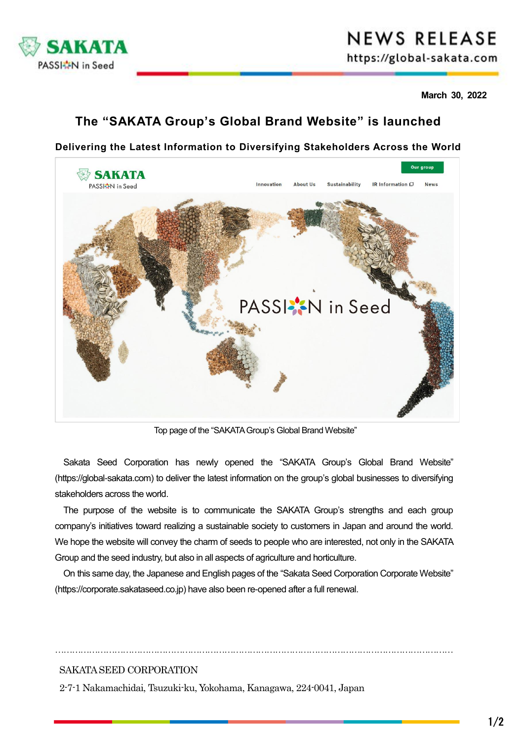

# **NEWS RELEASE**

https://global-sakata.com

**March 30, 2022**

## **The "SAKATA Group's Global Brand Website" is launched**

## **Delivering the Latest Information to Diversifying Stakeholders Across the World**



Top page of the "SAKATA Group's Global Brand Website"

Sakata Seed Corporation has newly opened the "SAKATA Group's Global Brand Website" (https://global-sakata.com) to deliver the latest information on the group's global businesses to diversifying stakeholders across the world.

The purpose of the website is to communicate the SAKATA Group's strengths and each group company's initiatives toward realizing a sustainable society to customers in Japan and around the world. We hope the website will convey the charm of seeds to people who are interested, not only in the SAKATA Group and the seed industry, but also in all aspects of agriculture and horticulture.

On this same day, the Japanese and English pages of the "Sakata Seed Corporation Corporate Website" (https://corporate.sakataseed.co.jp) have also been re-opened after a full renewal.

……………………………………………………………………………………………………………………………

### SAKATA SEED CORPORATION

2-7-1 Nakamachidai, Tsuzuki-ku, Yokohama, Kanagawa, 224-0041, Japan